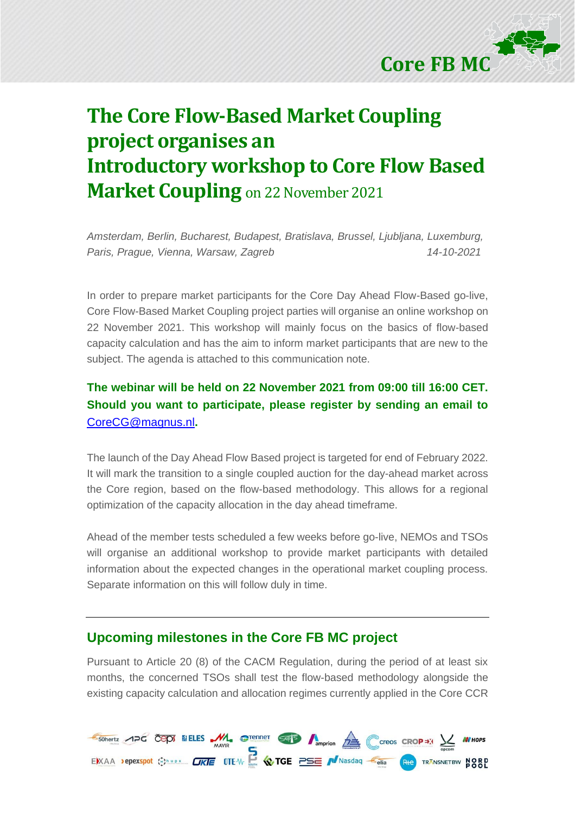

## **The Core Flow-Based Market Coupling project organises an Introductory workshop to Core Flow Based Market Coupling** on 22 November 2021

*Amsterdam, Berlin, Bucharest, Budapest, Bratislava, Brussel, Ljubljana, Luxemburg, Paris, Prague, Vienna, Warsaw, Zagreb 14-10-2021*

In order to prepare market participants for the Core Day Ahead Flow-Based go-live, Core Flow-Based Market Coupling project parties will organise an online workshop on 22 November 2021. This workshop will mainly focus on the basics of flow-based capacity calculation and has the aim to inform market participants that are new to the subject. The agenda is attached to this communication note.

#### **The webinar will be held on 22 November 2021 from 09:00 till 16:00 CET. Should you want to participate, please register by sending an email to**  [CoreCG@magnus.nl](mailto:CoreCG@magnus.nl)**.**

The launch of the Day Ahead Flow Based project is targeted for end of February 2022. It will mark the transition to a single coupled auction for the day-ahead market across the Core region, based on the flow-based methodology. This allows for a regional optimization of the capacity allocation in the day ahead timeframe.

Ahead of the member tests scheduled a few weeks before go-live, NEMOs and TSOs will organise an additional workshop to provide market participants with detailed information about the expected changes in the operational market coupling process. Separate information on this will follow duly in time.

#### **Upcoming milestones in the Core FB MC project**

Pursuant to Article 20 (8) of the CACM Regulation, during the period of at least six months, the concerned TSOs shall test the flow-based methodology alongside the existing capacity calculation and allocation regimes currently applied in the Core CCR

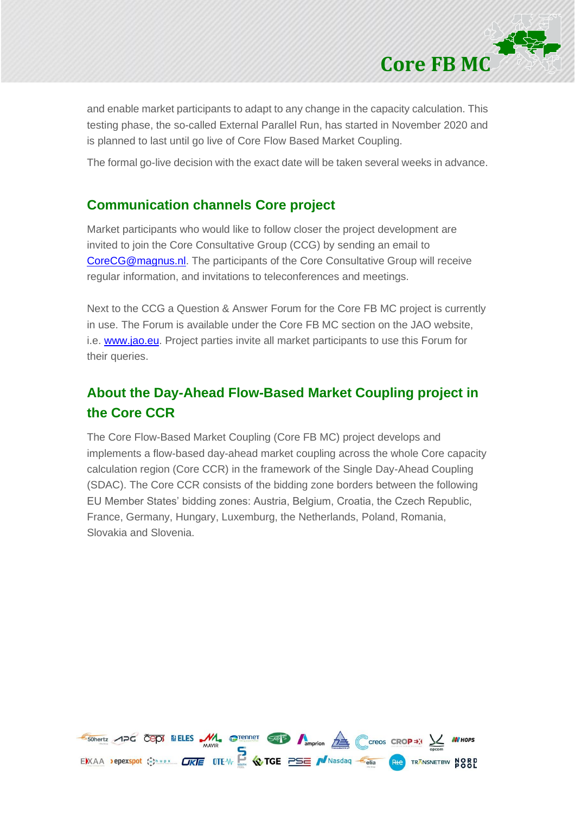

and enable market participants to adapt to any change in the capacity calculation. This testing phase, the so-called External Parallel Run, has started in November 2020 and is planned to last until go live of Core Flow Based Market Coupling.

The formal go-live decision with the exact date will be taken several weeks in advance.

#### **Communication channels Core project**

Market participants who would like to follow closer the project development are invited to join the Core Consultative Group (CCG) by sending an email to [CoreCG@magnus.nl.](mailto:CoreCG@magnus.nl) The participants of the Core Consultative Group will receive regular information, and invitations to teleconferences and meetings.

Next to the CCG a Question & Answer Forum for the Core FB MC project is currently in use. The Forum is available under the Core FB MC section on the JAO website, i.e. [www.jao.eu.](http://www.jao.eu/) Project parties invite all market participants to use this Forum for their queries.

### **About the Day-Ahead Flow-Based Market Coupling project in the Core CCR**

The Core Flow-Based Market Coupling (Core FB MC) project develops and implements a flow-based day-ahead market coupling across the whole Core capacity calculation region (Core CCR) in the framework of the Single Day-Ahead Coupling (SDAC). The Core CCR consists of the bidding zone borders between the following EU Member States' bidding zones: Austria, Belgium, Croatia, the Czech Republic, France, Germany, Hungary, Luxemburg, the Netherlands, Poland, Romania, Slovakia and Slovenia.